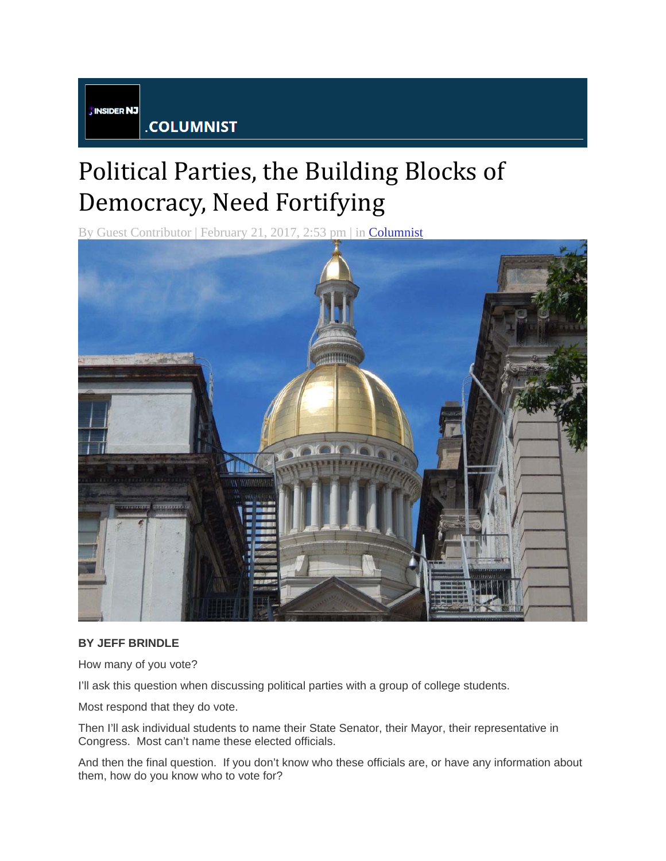**INSIDER NJ** 

.COLUMNIST

## Political Parties, the Building Blocks of Democracy, Need Fortifying

By Guest Contributor | February 21, 2017, 2:53 pm | in Columnist



## **BY JEFF BRINDLE**

How many of you vote?

I'll ask this question when discussing political parties with a group of college students.

Most respond that they do vote.

Then I'll ask individual students to name their State Senator, their Mayor, their representative in Congress. Most can't name these elected officials.

And then the final question. If you don't know who these officials are, or have any information about them, how do you know who to vote for?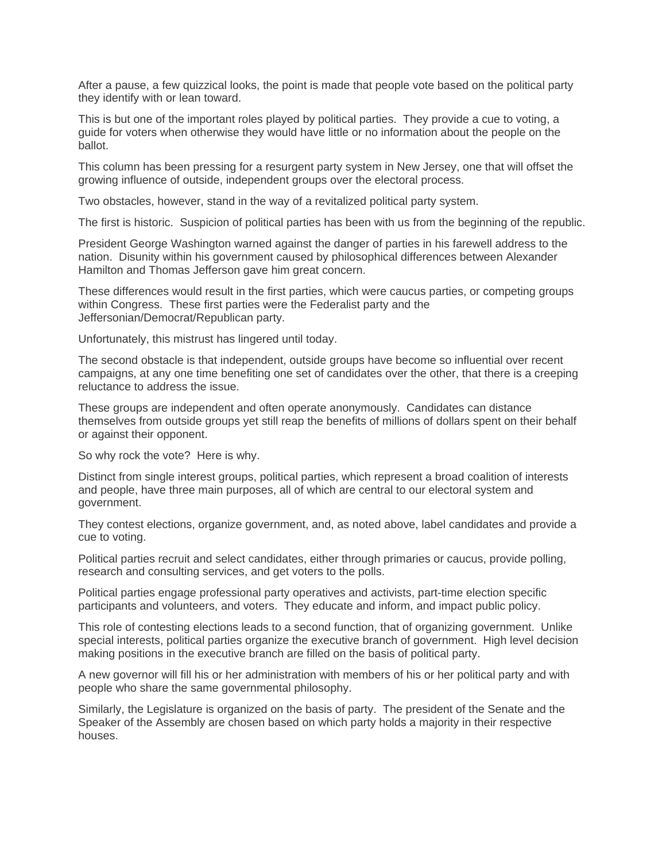After a pause, a few quizzical looks, the point is made that people vote based on the political party they identify with or lean toward.

This is but one of the important roles played by political parties. They provide a cue to voting, a guide for voters when otherwise they would have little or no information about the people on the ballot.

This column has been pressing for a resurgent party system in New Jersey, one that will offset the growing influence of outside, independent groups over the electoral process.

Two obstacles, however, stand in the way of a revitalized political party system.

The first is historic. Suspicion of political parties has been with us from the beginning of the republic.

President George Washington warned against the danger of parties in his farewell address to the nation. Disunity within his government caused by philosophical differences between Alexander Hamilton and Thomas Jefferson gave him great concern.

These differences would result in the first parties, which were caucus parties, or competing groups within Congress. These first parties were the Federalist party and the Jeffersonian/Democrat/Republican party.

Unfortunately, this mistrust has lingered until today.

The second obstacle is that independent, outside groups have become so influential over recent campaigns, at any one time benefiting one set of candidates over the other, that there is a creeping reluctance to address the issue.

These groups are independent and often operate anonymously. Candidates can distance themselves from outside groups yet still reap the benefits of millions of dollars spent on their behalf or against their opponent.

So why rock the vote? Here is why.

Distinct from single interest groups, political parties, which represent a broad coalition of interests and people, have three main purposes, all of which are central to our electoral system and government.

They contest elections, organize government, and, as noted above, label candidates and provide a cue to voting.

Political parties recruit and select candidates, either through primaries or caucus, provide polling, research and consulting services, and get voters to the polls.

Political parties engage professional party operatives and activists, part-time election specific participants and volunteers, and voters. They educate and inform, and impact public policy.

This role of contesting elections leads to a second function, that of organizing government. Unlike special interests, political parties organize the executive branch of government. High level decision making positions in the executive branch are filled on the basis of political party.

A new governor will fill his or her administration with members of his or her political party and with people who share the same governmental philosophy.

Similarly, the Legislature is organized on the basis of party. The president of the Senate and the Speaker of the Assembly are chosen based on which party holds a majority in their respective houses.